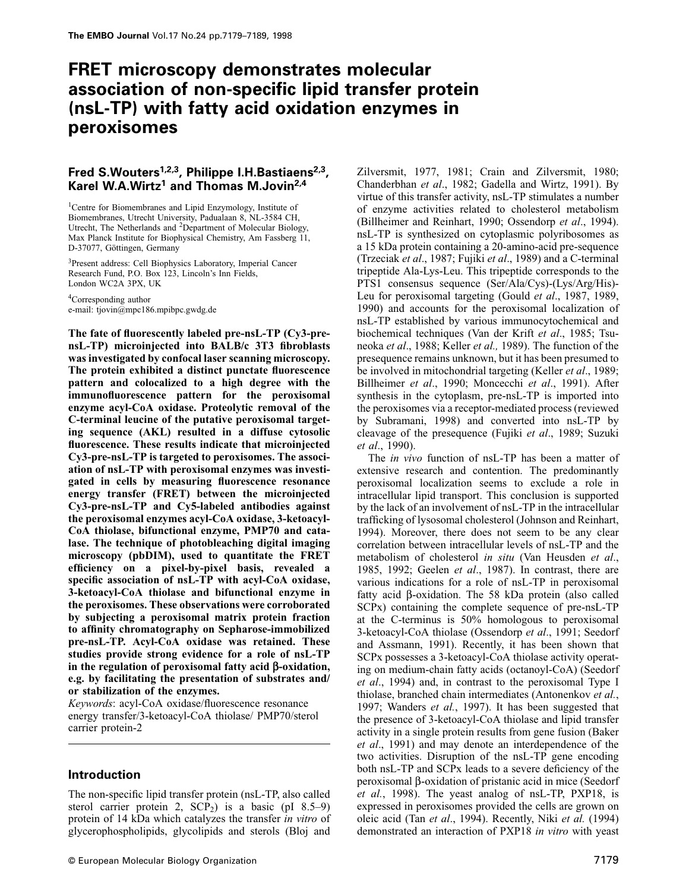# **FRET microscopy demonstrates molecular association of non-specific lipid transfer protein (nsL-TP) with fatty acid oxidation enzymes in peroxisomes**

# **Fred S.Wouters1,2,3, Philippe I.H.Bastiaens2,3, Karel W.A.Wirtz1 and Thomas M.Jovin2,4**

1Centre for Biomembranes and Lipid Enzymology, Institute of Biomembranes, Utrecht University, Padualaan 8, NL-3584 CH, Utrecht, The Netherlands and 2Department of Molecular Biology, Max Planck Institute for Biophysical Chemistry, Am Fassberg 11, D-37077, Göttingen, Germany

3Present address: Cell Biophysics Laboratory, Imperial Cancer Research Fund, P.O. Box 123, Lincoln's Inn Fields, London WC2A 3PX, UK

4Corresponding author e-mail: tjovin@mpc186.mpibpc.gwdg.de

**The fate of fluorescently labeled pre-nsL-TP (Cy3-prensL-TP) microinjected into BALB/c 3T3 fibroblasts was investigated by confocal laser scanning microscopy. The protein exhibited a distinct punctate fluorescence pattern and colocalized to a high degree with the immunofluorescence pattern for the peroxisomal enzyme acyl-CoA oxidase. Proteolytic removal of the C-terminal leucine of the putative peroxisomal targeting sequence (AKL) resulted in a diffuse cytosolic fluorescence. These results indicate that microinjected Cy3-pre-nsL-TP is targeted to peroxisomes. The association of nsL-TP with peroxisomal enzymes was investigated in cells by measuring fluorescence resonance energy transfer (FRET) between the microinjected Cy3-pre-nsL-TP and Cy5-labeled antibodies against the peroxisomal enzymes acyl-CoA oxidase, 3-ketoacyl-CoA thiolase, bifunctional enzyme, PMP70 and catalase. The technique of photobleaching digital imaging microscopy (pbDIM), used to quantitate the FRET efficiency on a pixel-by-pixel basis, revealed a specific association of nsL-TP with acyl-CoA oxidase, 3-ketoacyl-CoA thiolase and bifunctional enzyme in the peroxisomes. These observations were corroborated by subjecting a peroxisomal matrix protein fraction to affinity chromatography on Sepharose-immobilized pre-nsL-TP. Acyl-CoA oxidase was retained. These studies provide strong evidence for a role of nsL-TP in the regulation of peroxisomal fatty acid β-oxidation, e.g. by facilitating the presentation of substrates and/ or stabilization of the enzymes.**

*Keywords*: acyl-CoA oxidase/fluorescence resonance energy transfer/3-ketoacyl-CoA thiolase/ PMP70/sterol carrier protein-2

### **Introduction**

The non-specific lipid transfer protein (nsL-TP, also called sterol carrier protein 2,  $SCP<sub>2</sub>$ ) is a basic (pI 8.5–9) protein of 14 kDa which catalyzes the transfer *in vitro* of glycerophospholipids, glycolipids and sterols (Bloj and

Zilversmit, 1977, 1981; Crain and Zilversmit, 1980; Chanderbhan *et al*., 1982; Gadella and Wirtz, 1991). By virtue of this transfer activity, nsL-TP stimulates a number of enzyme activities related to cholesterol metabolism (Billheimer and Reinhart, 1990; Ossendorp *et al*., 1994). nsL-TP is synthesized on cytoplasmic polyribosomes as a 15 kDa protein containing a 20-amino-acid pre-sequence (Trzeciak *et al*., 1987; Fujiki *et al*., 1989) and a C-terminal tripeptide Ala-Lys-Leu. This tripeptide corresponds to the PTS1 consensus sequence (Ser/Ala/Cys)-(Lys/Arg/His)- Leu for peroxisomal targeting (Gould *et al*., 1987, 1989, 1990) and accounts for the peroxisomal localization of nsL-TP established by various immunocytochemical and biochemical techniques (Van der Krift *et al*., 1985; Tsuneoka *et al*., 1988; Keller *et al.,* 1989). The function of the presequence remains unknown, but it has been presumed to be involved in mitochondrial targeting (Keller *et al*., 1989; Billheimer *et al*., 1990; Moncecchi *et al*., 1991). After synthesis in the cytoplasm, pre-nsL-TP is imported into the peroxisomes via a receptor-mediated process (reviewed by Subramani, 1998) and converted into nsL-TP by cleavage of the presequence (Fujiki *et al*., 1989; Suzuki *et al*., 1990).

The *in vivo* function of nsL-TP has been a matter of extensive research and contention. The predominantly peroxisomal localization seems to exclude a role in intracellular lipid transport. This conclusion is supported by the lack of an involvement of nsL-TP in the intracellular trafficking of lysosomal cholesterol (Johnson and Reinhart, 1994). Moreover, there does not seem to be any clear correlation between intracellular levels of nsL-TP and the metabolism of cholesterol *in situ* (Van Heusden *et al*., 1985, 1992; Geelen *et al*., 1987). In contrast, there are various indications for a role of nsL-TP in peroxisomal fatty acid β-oxidation. The 58 kDa protein (also called SCPx) containing the complete sequence of pre-nsL-TP at the C-terminus is 50% homologous to peroxisomal 3-ketoacyl-CoA thiolase (Ossendorp *et al*., 1991; Seedorf and Assmann, 1991). Recently, it has been shown that SCPx possesses a 3-ketoacyl-CoA thiolase activity operating on medium-chain fatty acids (octanoyl-CoA) (Seedorf *et al*., 1994) and, in contrast to the peroxisomal Type I thiolase, branched chain intermediates (Antonenkov *et al.*, 1997; Wanders *et al.*, 1997). It has been suggested that the presence of 3-ketoacyl-CoA thiolase and lipid transfer activity in a single protein results from gene fusion (Baker *et al*., 1991) and may denote an interdependence of the two activities. Disruption of the nsL-TP gene encoding both nsL-TP and SCPx leads to a severe deficiency of the peroxisomal β-oxidation of pristanic acid in mice (Seedorf *et al.*, 1998). The yeast analog of nsL-TP, PXP18, is expressed in peroxisomes provided the cells are grown on oleic acid (Tan *et al*., 1994). Recently, Niki *et al.* (1994) demonstrated an interaction of PXP18 *in vitro* with yeast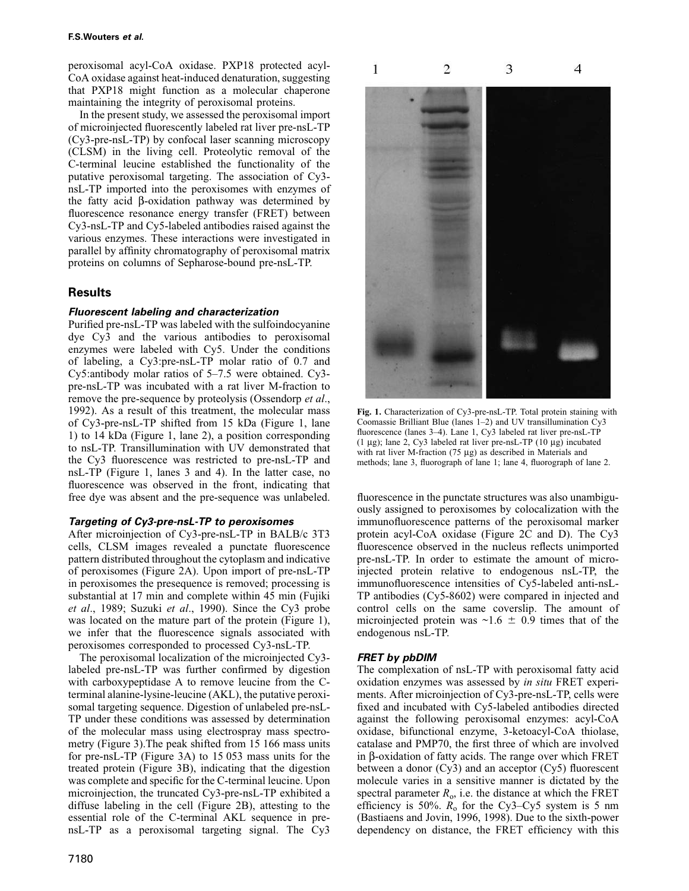#### **F.S.Wouters et al.**

peroxisomal acyl-CoA oxidase. PXP18 protected acyl-CoA oxidase against heat-induced denaturation, suggesting that PXP18 might function as a molecular chaperone maintaining the integrity of peroxisomal proteins.

In the present study, we assessed the peroxisomal import of microinjected fluorescently labeled rat liver pre-nsL-TP (Cy3-pre-nsL-TP) by confocal laser scanning microscopy (CLSM) in the living cell. Proteolytic removal of the C-terminal leucine established the functionality of the putative peroxisomal targeting. The association of Cy3 nsL-TP imported into the peroxisomes with enzymes of the fatty acid β-oxidation pathway was determined by fluorescence resonance energy transfer (FRET) between Cy3-nsL-TP and Cy5-labeled antibodies raised against the various enzymes. These interactions were investigated in parallel by affinity chromatography of peroxisomal matrix proteins on columns of Sepharose-bound pre-nsL-TP.

## **Results**

### **Fluorescent labeling and characterization**

Purified pre-nsL-TP was labeled with the sulfoindocyanine dye Cy3 and the various antibodies to peroxisomal enzymes were labeled with Cy5. Under the conditions of labeling, a Cy3:pre-nsL-TP molar ratio of 0.7 and Cy5:antibody molar ratios of 5–7.5 were obtained. Cy3 pre-nsL-TP was incubated with a rat liver M-fraction to remove the pre-sequence by proteolysis (Ossendorp *et al*., 1992). As a result of this treatment, the molecular mass of Cy3-pre-nsL-TP shifted from 15 kDa (Figure 1, lane 1) to 14 kDa (Figure 1, lane 2), a position corresponding to nsL-TP. Transillumination with UV demonstrated that the Cy3 fluorescence was restricted to pre-nsL-TP and nsL-TP (Figure 1, lanes 3 and 4). In the latter case, no fluorescence was observed in the front, indicating that free dye was absent and the pre-sequence was unlabeled.

#### **Targeting of Cy3-pre-nsL-TP to peroxisomes**

After microinjection of Cy3-pre-nsL-TP in BALB/c 3T3 cells, CLSM images revealed a punctate fluorescence pattern distributed throughout the cytoplasm and indicative of peroxisomes (Figure 2A). Upon import of pre-nsL-TP in peroxisomes the presequence is removed; processing is substantial at 17 min and complete within 45 min (Fujiki *et al*., 1989; Suzuki *et al*., 1990). Since the Cy3 probe was located on the mature part of the protein (Figure 1), we infer that the fluorescence signals associated with peroxisomes corresponded to processed Cy3-nsL-TP.

The peroxisomal localization of the microinjected Cy3 labeled pre-nsL-TP was further confirmed by digestion with carboxypeptidase A to remove leucine from the Cterminal alanine-lysine-leucine (AKL), the putative peroxisomal targeting sequence. Digestion of unlabeled pre-nsL-TP under these conditions was assessed by determination of the molecular mass using electrospray mass spectrometry (Figure 3).The peak shifted from 15 166 mass units for pre-nsL-TP (Figure 3A) to 15 053 mass units for the treated protein (Figure 3B), indicating that the digestion was complete and specific for the C-terminal leucine. Upon microinjection, the truncated Cy3-pre-nsL-TP exhibited a diffuse labeling in the cell (Figure 2B), attesting to the essential role of the C-terminal AKL sequence in prensL-TP as a peroxisomal targeting signal. The Cy3



**Fig. 1.** Characterization of Cy3-pre-nsL-TP. Total protein staining with Coomassie Brilliant Blue (lanes 1–2) and UV transillumination Cy3 fluorescence (lanes 3–4). Lane 1, Cy3 labeled rat liver pre-nsL-TP (1  $\mu$ g); lane 2, Cy3 labeled rat liver pre-nsL-TP (10  $\mu$ g) incubated with rat liver M-fraction (75 μg) as described in Materials and methods; lane 3, fluorograph of lane 1; lane 4, fluorograph of lane 2.

fluorescence in the punctate structures was also unambiguously assigned to peroxisomes by colocalization with the immunofluorescence patterns of the peroxisomal marker protein acyl-CoA oxidase (Figure 2C and D). The Cy3 fluorescence observed in the nucleus reflects unimported pre-nsL-TP. In order to estimate the amount of microinjected protein relative to endogenous nsL-TP, the immunofluorescence intensities of Cy5-labeled anti-nsL-TP antibodies (Cy5-8602) were compared in injected and control cells on the same coverslip. The amount of microinjected protein was  $\sim 1.6 \pm 0.9$  times that of the endogenous nsL-TP.

### **FRET by pbDIM**

The complexation of nsL-TP with peroxisomal fatty acid oxidation enzymes was assessed by *in situ* FRET experiments. After microinjection of Cy3-pre-nsL-TP, cells were fixed and incubated with Cy5-labeled antibodies directed against the following peroxisomal enzymes: acyl-CoA oxidase, bifunctional enzyme, 3-ketoacyl-CoA thiolase, catalase and PMP70, the first three of which are involved in β-oxidation of fatty acids. The range over which FRET between a donor  $(Cy3)$  and an acceptor  $(Cy5)$  fluorescent molecule varies in a sensitive manner is dictated by the spectral parameter  $R_0$ , i.e. the distance at which the FRET efficiency is 50%.  $R_0$  for the Cy3–Cy5 system is 5 nm (Bastiaens and Jovin, 1996, 1998). Due to the sixth-power dependency on distance, the FRET efficiency with this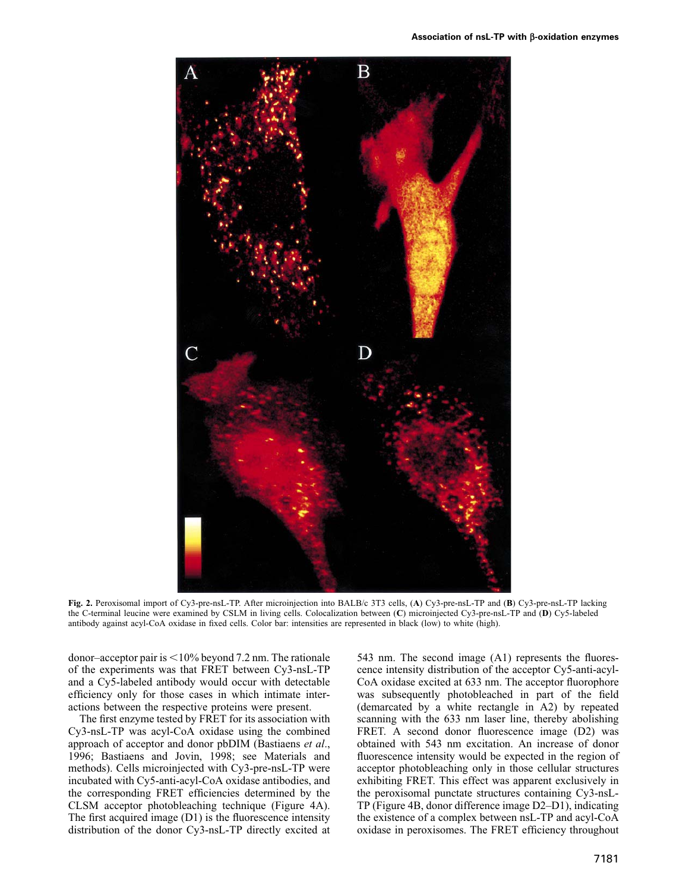

**Fig. 2.** Peroxisomal import of Cy3-pre-nsL-TP. After microinjection into BALB/c 3T3 cells, (**A**) Cy3-pre-nsL-TP and (**B**) Cy3-pre-nsL-TP lacking the C-terminal leucine were examined by CSLM in living cells. Colocalization between (**C**) microinjected Cy3-pre-nsL-TP and (**D**) Cy5-labeled antibody against acyl-CoA oxidase in fixed cells. Color bar: intensities are represented in black (low) to white (high).

donor–acceptor pair is  $\leq 10\%$  beyond 7.2 nm. The rationale of the experiments was that FRET between Cy3-nsL-TP and a Cy5-labeled antibody would occur with detectable efficiency only for those cases in which intimate interactions between the respective proteins were present.

The first enzyme tested by FRET for its association with Cy3-nsL-TP was acyl-CoA oxidase using the combined approach of acceptor and donor pbDIM (Bastiaens *et al*., 1996; Bastiaens and Jovin, 1998; see Materials and methods). Cells microinjected with Cy3-pre-nsL-TP were incubated with Cy5-anti-acyl-CoA oxidase antibodies, and the corresponding FRET efficiencies determined by the CLSM acceptor photobleaching technique (Figure 4A). The first acquired image (D1) is the fluorescence intensity distribution of the donor Cy3-nsL-TP directly excited at

543 nm. The second image (A1) represents the fluorescence intensity distribution of the acceptor Cy5-anti-acyl-CoA oxidase excited at 633 nm. The acceptor fluorophore was subsequently photobleached in part of the field (demarcated by a white rectangle in A2) by repeated scanning with the 633 nm laser line, thereby abolishing FRET. A second donor fluorescence image (D2) was obtained with 543 nm excitation. An increase of donor fluorescence intensity would be expected in the region of acceptor photobleaching only in those cellular structures exhibiting FRET. This effect was apparent exclusively in the peroxisomal punctate structures containing Cy3-nsL-TP (Figure 4B, donor difference image D2–D1), indicating the existence of a complex between nsL-TP and acyl-CoA oxidase in peroxisomes. The FRET efficiency throughout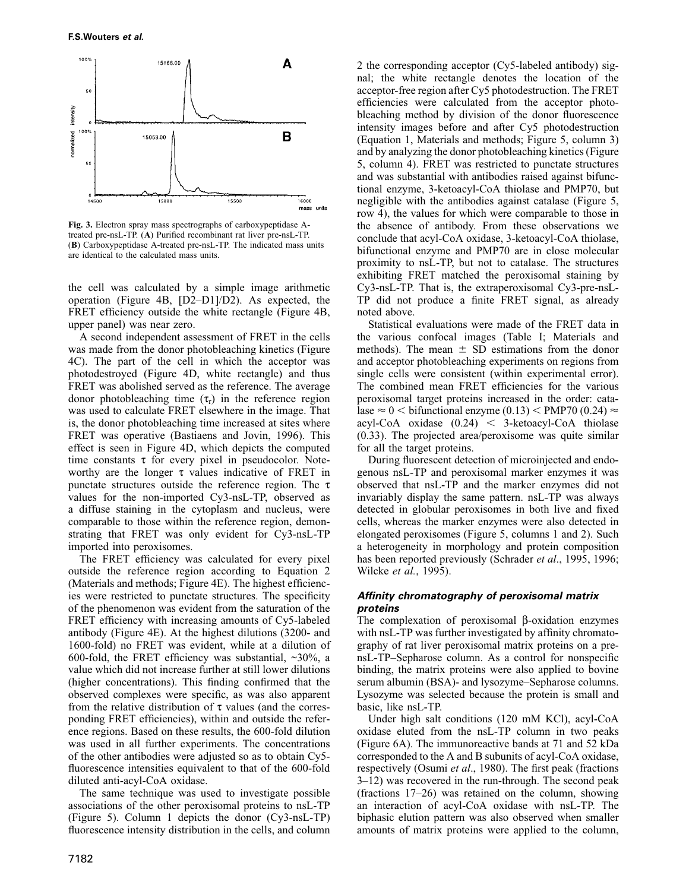

**Fig. 3.** Electron spray mass spectrographs of carboxypeptidase Atreated pre-nsL-TP. (**A**) Purified recombinant rat liver pre-nsL-TP. (**B**) Carboxypeptidase A-treated pre-nsL-TP. The indicated mass units are identical to the calculated mass units.

the cell was calculated by a simple image arithmetic operation (Figure 4B, [D2–D1]/D2). As expected, the FRET efficiency outside the white rectangle (Figure 4B, upper panel) was near zero.

A second independent assessment of FRET in the cells was made from the donor photobleaching kinetics (Figure 4C). The part of the cell in which the acceptor was photodestroyed (Figure 4D, white rectangle) and thus FRET was abolished served as the reference. The average donor photobleaching time  $(\tau_r)$  in the reference region was used to calculate FRET elsewhere in the image. That is, the donor photobleaching time increased at sites where FRET was operative (Bastiaens and Jovin, 1996). This effect is seen in Figure 4D, which depicts the computed time constants  $\tau$  for every pixel in pseudocolor. Noteworthy are the longer  $\tau$  values indicative of FRET in punctate structures outside the reference region. The τ values for the non-imported Cy3-nsL-TP, observed as a diffuse staining in the cytoplasm and nucleus, were comparable to those within the reference region, demonstrating that FRET was only evident for Cy3-nsL-TP imported into peroxisomes.

The FRET efficiency was calculated for every pixel outside the reference region according to Equation 2 (Materials and methods; Figure 4E). The highest efficiencies were restricted to punctate structures. The specificity of the phenomenon was evident from the saturation of the FRET efficiency with increasing amounts of Cy5-labeled antibody (Figure 4E). At the highest dilutions (3200- and 1600-fold) no FRET was evident, while at a dilution of 600-fold, the FRET efficiency was substantial,  $\sim$ 30%, a value which did not increase further at still lower dilutions (higher concentrations). This finding confirmed that the observed complexes were specific, as was also apparent from the relative distribution of  $\tau$  values (and the corresponding FRET efficiencies), within and outside the reference regions. Based on these results, the 600-fold dilution was used in all further experiments. The concentrations of the other antibodies were adjusted so as to obtain Cy5 fluorescence intensities equivalent to that of the 600-fold diluted anti-acyl-CoA oxidase.

The same technique was used to investigate possible associations of the other peroxisomal proteins to nsL-TP (Figure 5). Column 1 depicts the donor (Cy3-nsL-TP) fluorescence intensity distribution in the cells, and column 2 the corresponding acceptor (Cy5-labeled antibody) signal; the white rectangle denotes the location of the acceptor-free region after Cy5 photodestruction. The FRET efficiencies were calculated from the acceptor photobleaching method by division of the donor fluorescence intensity images before and after Cy5 photodestruction (Equation 1, Materials and methods; Figure 5, column 3) and by analyzing the donor photobleaching kinetics (Figure 5, column 4). FRET was restricted to punctate structures and was substantial with antibodies raised against bifunctional enzyme, 3-ketoacyl-CoA thiolase and PMP70, but negligible with the antibodies against catalase (Figure 5, row 4), the values for which were comparable to those in the absence of antibody. From these observations we conclude that acyl-CoA oxidase, 3-ketoacyl-CoA thiolase, bifunctional enzyme and PMP70 are in close molecular proximity to nsL-TP, but not to catalase. The structures exhibiting FRET matched the peroxisomal staining by Cy3-nsL-TP. That is, the extraperoxisomal Cy3-pre-nsL-TP did not produce a finite FRET signal, as already noted above.

Statistical evaluations were made of the FRET data in the various confocal images (Table I; Materials and methods). The mean  $\pm$  SD estimations from the donor and acceptor photobleaching experiments on regions from single cells were consistent (within experimental error). The combined mean FRET efficiencies for the various peroxisomal target proteins increased in the order: catalase  $\approx 0$  < bifunctional enzyme (0.13) < PMP70 (0.24)  $\approx$ acyl-CoA oxidase  $(0.24)$  < 3-ketoacyl-CoA thiolase (0.33). The projected area/peroxisome was quite similar for all the target proteins.

During fluorescent detection of microinjected and endogenous nsL-TP and peroxisomal marker enzymes it was observed that nsL-TP and the marker enzymes did not invariably display the same pattern. nsL-TP was always detected in globular peroxisomes in both live and fixed cells, whereas the marker enzymes were also detected in elongated peroxisomes (Figure 5, columns 1 and 2). Such a heterogeneity in morphology and protein composition has been reported previously (Schrader *et al*., 1995, 1996; Wilcke *et al.*, 1995).

### **Affinity chromatography of peroxisomal matrix proteins**

The complexation of peroxisomal β-oxidation enzymes with nsL-TP was further investigated by affinity chromatography of rat liver peroxisomal matrix proteins on a prensL-TP–Sepharose column. As a control for nonspecific binding, the matrix proteins were also applied to bovine serum albumin (BSA)- and lysozyme–Sepharose columns. Lysozyme was selected because the protein is small and basic, like nsL-TP.

Under high salt conditions (120 mM KCl), acyl-CoA oxidase eluted from the nsL-TP column in two peaks (Figure 6A). The immunoreactive bands at 71 and 52 kDa corresponded to the A and B subunits of acyl-CoA oxidase, respectively (Osumi *et al*., 1980). The first peak (fractions 3–12) was recovered in the run-through. The second peak (fractions 17–26) was retained on the column, showing an interaction of acyl-CoA oxidase with nsL-TP. The biphasic elution pattern was also observed when smaller amounts of matrix proteins were applied to the column,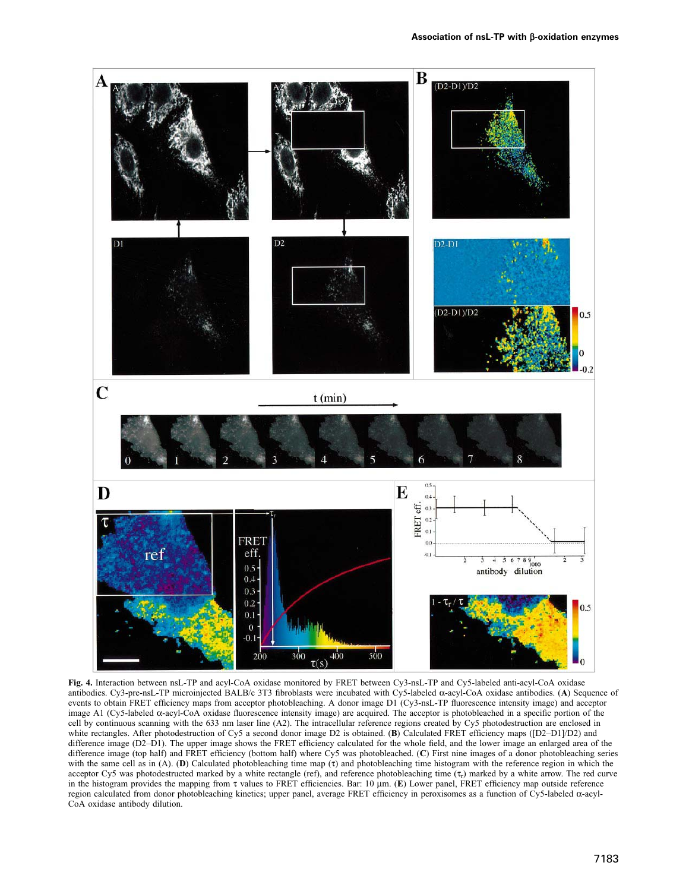

**Fig. 4.** Interaction between nsL-TP and acyl-CoA oxidase monitored by FRET between Cy3-nsL-TP and Cy5-labeled anti-acyl-CoA oxidase antibodies. Cy3-pre-nsL-TP microinjected BALB/c 3T3 fibroblasts were incubated with Cy5-labeled α-acyl-CoA oxidase antibodies. (**A**) Sequence of events to obtain FRET efficiency maps from acceptor photobleaching. A donor image D1 (Cy3-nsL-TP fluorescence intensity image) and acceptor image A1 (Cy5-labeled α-acyl-CoA oxidase fluorescence intensity image) are acquired. The acceptor is photobleached in a specific portion of the cell by continuous scanning with the 633 nm laser line (A2). The intracellular reference regions created by Cy5 photodestruction are enclosed in white rectangles. After photodestruction of Cy5 a second donor image D2 is obtained. (**B**) Calculated FRET efficiency maps ([D2–D1]/D2) and difference image (D2–D1). The upper image shows the FRET efficiency calculated for the whole field, and the lower image an enlarged area of the difference image (top half) and FRET efficiency (bottom half) where Cy5 was photobleached. (**C**) First nine images of a donor photobleaching series with the same cell as in (A). (**D**) Calculated photobleaching time map (τ) and photobleaching time histogram with the reference region in which the acceptor Cy5 was photodestructed marked by a white rectangle (ref), and reference photobleaching time  $(\tau_r)$  marked by a white arrow. The red curve in the histogram provides the mapping from τ values to FRET efficiencies. Bar: 10 μm. (**E**) Lower panel, FRET efficiency map outside reference region calculated from donor photobleaching kinetics; upper panel, average FRET efficiency in peroxisomes as a function of Cy5-labeled α-acyl-CoA oxidase antibody dilution.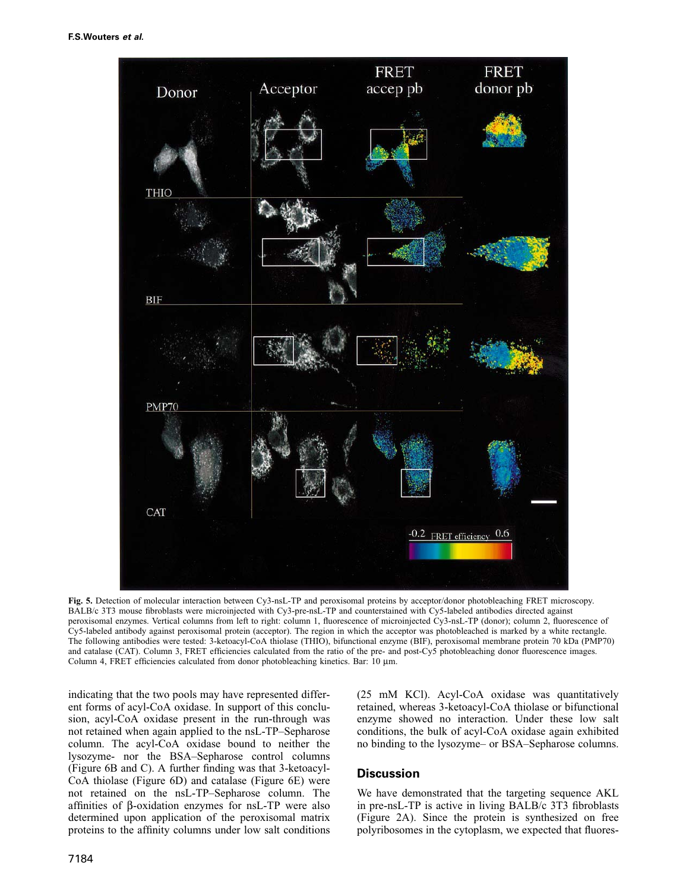

**Fig. 5.** Detection of molecular interaction between Cy3-nsL-TP and peroxisomal proteins by acceptor/donor photobleaching FRET microscopy. BALB/c 3T3 mouse fibroblasts were microinjected with Cy3-pre-nsL-TP and counterstained with Cy5-labeled antibodies directed against peroxisomal enzymes. Vertical columns from left to right: column 1, fluorescence of microinjected Cy3-nsL-TP (donor); column 2, fluorescence of Cy5-labeled antibody against peroxisomal protein (acceptor). The region in which the acceptor was photobleached is marked by a white rectangle. The following antibodies were tested: 3-ketoacyl-CoA thiolase (THIO), bifunctional enzyme (BIF), peroxisomal membrane protein 70 kDa (PMP70) and catalase (CAT). Column 3, FRET efficiencies calculated from the ratio of the pre- and post-Cy5 photobleaching donor fluorescence images. Column 4, FRET efficiencies calculated from donor photobleaching kinetics. Bar: 10 μm.

indicating that the two pools may have represented different forms of acyl-CoA oxidase. In support of this conclusion, acyl-CoA oxidase present in the run-through was not retained when again applied to the nsL-TP–Sepharose column. The acyl-CoA oxidase bound to neither the lysozyme- nor the BSA–Sepharose control columns (Figure 6B and C). A further finding was that 3-ketoacyl-CoA thiolase (Figure 6D) and catalase (Figure 6E) were not retained on the nsL-TP–Sepharose column. The affinities of β-oxidation enzymes for nsL-TP were also determined upon application of the peroxisomal matrix proteins to the affinity columns under low salt conditions (25 mM KCl). Acyl-CoA oxidase was quantitatively retained, whereas 3-ketoacyl-CoA thiolase or bifunctional enzyme showed no interaction. Under these low salt conditions, the bulk of acyl-CoA oxidase again exhibited no binding to the lysozyme– or BSA–Sepharose columns.

# **Discussion**

We have demonstrated that the targeting sequence AKL in pre-nsL-TP is active in living BALB/c 3T3 fibroblasts (Figure 2A). Since the protein is synthesized on free polyribosomes in the cytoplasm, we expected that fluores-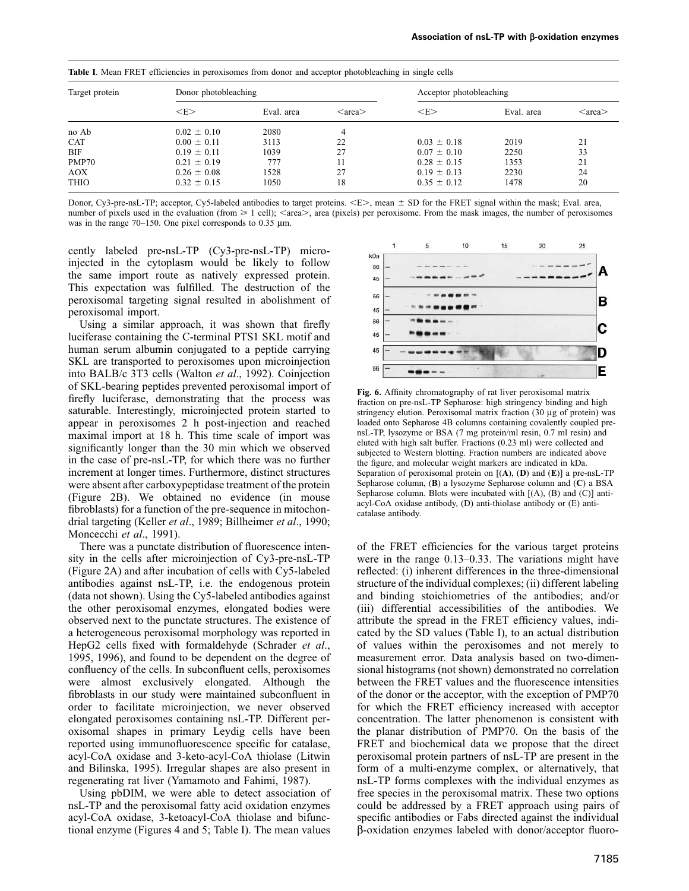| <b>Table 1.</b> Mean FRET efficiencies in peroxisomes from donor and acceptor photobleaching in single cells |                      |            |                        |                         |            |                        |
|--------------------------------------------------------------------------------------------------------------|----------------------|------------|------------------------|-------------------------|------------|------------------------|
| Target protein                                                                                               | Donor photobleaching |            |                        | Acceptor photobleaching |            |                        |
|                                                                                                              | $<$ E $>$            | Eval. area | $\langle area \rangle$ | $\rm < E$               | Eval. area | $\langle area \rangle$ |
| no Ab                                                                                                        | $0.02 \pm 0.10$      | 2080       | 4                      |                         |            |                        |
| <b>CAT</b>                                                                                                   | $0.00 \pm 0.11$      | 3113       | 22                     | $0.03 \pm 0.18$         | 2019       | 21                     |
| <b>BIF</b>                                                                                                   | $0.19 \pm 0.11$      | 1039       |                        | $0.07 \pm 0.10$         | 2250       | 33                     |
| PMP70                                                                                                        | $0.21 \pm 0.19$      | 777        |                        | $0.28 \pm 0.15$         | 1353       | 21                     |
| AOX                                                                                                          | $0.26 \pm 0.08$      | 1528       | 27                     | $0.19 \pm 0.13$         | 2230       | 24                     |
| <b>THIO</b>                                                                                                  | $0.32 \pm 0.15$      | 1050       | 18                     | $0.35 \pm 0.12$         | 1478       | 20                     |

**Table I**. Mean FRET efficiencies in peroxisomes from donor and acceptor photobleaching in single cells

Donor, Cy3-pre-nsL-TP; acceptor, Cy5-labeled antibodies to target proteins. <E>, mean  $\pm$  SD for the FRET signal within the mask; Eval. area, number of pixels used in the evaluation (from  $\geq 1$  cell);  $\leq$  area $\geq$ , area (pixels) per peroxisome. From the mask images, the number of peroxisomes was in the range 70–150. One pixel corresponds to 0.35 μm.

cently labeled pre-nsL-TP (Cy3-pre-nsL-TP) microinjected in the cytoplasm would be likely to follow the same import route as natively expressed protein. This expectation was fulfilled. The destruction of the peroxisomal targeting signal resulted in abolishment of peroxisomal import.

Using a similar approach, it was shown that firefly luciferase containing the C-terminal PTS1 SKL motif and human serum albumin conjugated to a peptide carrying SKL are transported to peroxisomes upon microinjection into BALB/c 3T3 cells (Walton *et al*., 1992). Coinjection of SKL-bearing peptides prevented peroxisomal import of firefly luciferase, demonstrating that the process was saturable. Interestingly, microinjected protein started to appear in peroxisomes 2 h post-injection and reached maximal import at 18 h. This time scale of import was significantly longer than the 30 min which we observed in the case of pre-nsL-TP, for which there was no further increment at longer times. Furthermore, distinct structures were absent after carboxypeptidase treatment of the protein (Figure 2B). We obtained no evidence (in mouse fibroblasts) for a function of the pre-sequence in mitochondrial targeting (Keller *et al*., 1989; Billheimer *et al*., 1990; Moncecchi *et al*., 1991).

There was a punctate distribution of fluorescence intensity in the cells after microinjection of Cy3-pre-nsL-TP (Figure 2A) and after incubation of cells with Cy5-labeled antibodies against nsL-TP, i.e. the endogenous protein (data not shown). Using the Cy5-labeled antibodies against the other peroxisomal enzymes, elongated bodies were observed next to the punctate structures. The existence of a heterogeneous peroxisomal morphology was reported in HepG2 cells fixed with formaldehyde (Schrader *et al*., 1995, 1996), and found to be dependent on the degree of confluency of the cells. In subconfluent cells, peroxisomes were almost exclusively elongated. Although the fibroblasts in our study were maintained subconfluent in order to facilitate microinjection, we never observed elongated peroxisomes containing nsL-TP. Different peroxisomal shapes in primary Leydig cells have been reported using immunofluorescence specific for catalase, acyl-CoA oxidase and 3-keto-acyl-CoA thiolase (Litwin and Bilinska, 1995). Irregular shapes are also present in regenerating rat liver (Yamamoto and Fahimi, 1987).

Using pbDIM, we were able to detect association of nsL-TP and the peroxisomal fatty acid oxidation enzymes acyl-CoA oxidase, 3-ketoacyl-CoA thiolase and bifunctional enzyme (Figures 4 and 5; Table I). The mean values



**Fig. 6.** Affinity chromatography of rat liver peroxisomal matrix fraction on pre-nsL-TP Sepharose: high stringency binding and high stringency elution. Peroxisomal matrix fraction (30 μg of protein) was loaded onto Sepharose 4B columns containing covalently coupled prensL-TP, lysozyme or BSA (7 mg protein/ml resin, 0.7 ml resin) and eluted with high salt buffer. Fractions (0.23 ml) were collected and subjected to Western blotting. Fraction numbers are indicated above the figure, and molecular weight markers are indicated in kDa. Separation of peroxisomal protein on [(**A**), (**D**) and (**E**)] a pre-nsL-TP Sepharose column, (**B**) a lysozyme Sepharose column and (**C**) a BSA Sepharose column. Blots were incubated with  $[(A), (B)$  and  $(C)]$  antiacyl-CoA oxidase antibody, (D) anti-thiolase antibody or (E) anticatalase antibody.

of the FRET efficiencies for the various target proteins were in the range 0.13–0.33. The variations might have reflected: (i) inherent differences in the three-dimensional structure of the individual complexes; (ii) different labeling and binding stoichiometries of the antibodies; and/or (iii) differential accessibilities of the antibodies. We attribute the spread in the FRET efficiency values, indicated by the SD values (Table I), to an actual distribution of values within the peroxisomes and not merely to measurement error. Data analysis based on two-dimensional histograms (not shown) demonstrated no correlation between the FRET values and the fluorescence intensities of the donor or the acceptor, with the exception of PMP70 for which the FRET efficiency increased with acceptor concentration. The latter phenomenon is consistent with the planar distribution of PMP70. On the basis of the FRET and biochemical data we propose that the direct peroxisomal protein partners of nsL-TP are present in the form of a multi-enzyme complex, or alternatively, that nsL-TP forms complexes with the individual enzymes as free species in the peroxisomal matrix. These two options could be addressed by a FRET approach using pairs of specific antibodies or Fabs directed against the individual β-oxidation enzymes labeled with donor/acceptor fluoro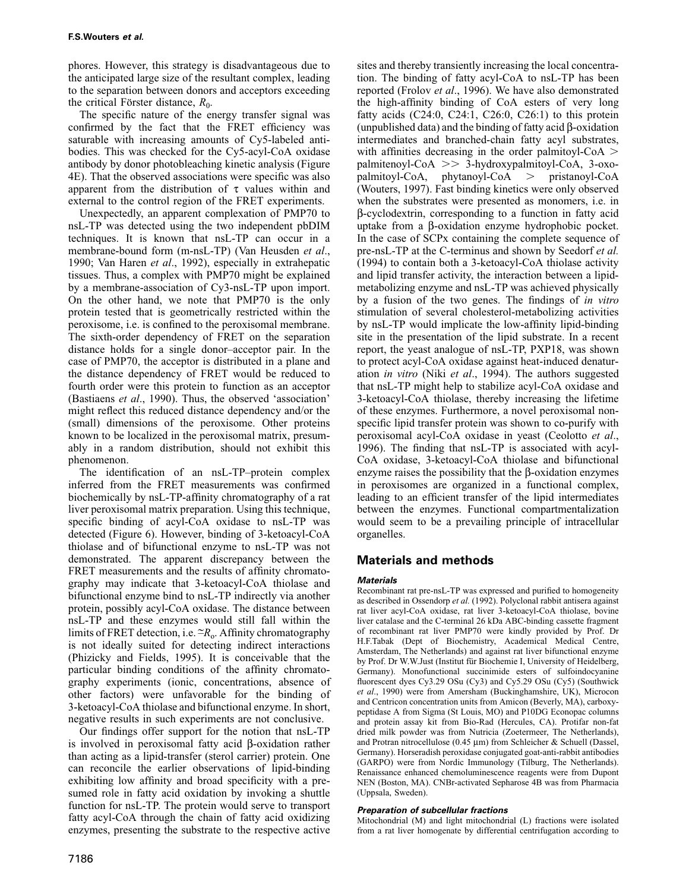phores. However, this strategy is disadvantageous due to the anticipated large size of the resultant complex, leading to the separation between donors and acceptors exceeding the critical Förster distance,  $R_0$ .

The specific nature of the energy transfer signal was confirmed by the fact that the FRET efficiency was saturable with increasing amounts of Cy5-labeled antibodies. This was checked for the Cy5-acyl-CoA oxidase antibody by donor photobleaching kinetic analysis (Figure 4E). That the observed associations were specific was also apparent from the distribution of  $\tau$  values within and external to the control region of the FRET experiments.

Unexpectedly, an apparent complexation of PMP70 to nsL-TP was detected using the two independent pbDIM techniques. It is known that nsL-TP can occur in a membrane-bound form (m-nsL-TP) (Van Heusden *et al*., 1990; Van Haren *et al*., 1992), especially in extrahepatic tissues. Thus, a complex with PMP70 might be explained by a membrane-association of Cy3-nsL-TP upon import. On the other hand, we note that PMP70 is the only protein tested that is geometrically restricted within the peroxisome, i.e. is confined to the peroxisomal membrane. The sixth-order dependency of FRET on the separation distance holds for a single donor–acceptor pair. In the case of PMP70, the acceptor is distributed in a plane and the distance dependency of FRET would be reduced to fourth order were this protein to function as an acceptor (Bastiaens *et al*., 1990). Thus, the observed 'association' might reflect this reduced distance dependency and/or the (small) dimensions of the peroxisome. Other proteins known to be localized in the peroxisomal matrix, presumably in a random distribution, should not exhibit this phenomenon.

The identification of an nsL-TP–protein complex inferred from the FRET measurements was confirmed biochemically by nsL-TP-affinity chromatography of a rat liver peroxisomal matrix preparation. Using this technique, specific binding of acyl-CoA oxidase to nsL-TP was detected (Figure 6). However, binding of 3-ketoacyl-CoA thiolase and of bifunctional enzyme to nsL-TP was not demonstrated. The apparent discrepancy between the FRET measurements and the results of affinity chromatography may indicate that 3-ketoacyl-CoA thiolase and bifunctional enzyme bind to nsL-TP indirectly via another protein, possibly acyl-CoA oxidase. The distance between nsL-TP and these enzymes would still fall within the limits of FRET detection, i.e.  $\tilde{}-R_0$ . Affinity chromatography is not ideally suited for detecting indirect interactions (Phizicky and Fields, 1995). It is conceivable that the particular binding conditions of the affinity chromatography experiments (ionic, concentrations, absence of other factors) were unfavorable for the binding of 3-ketoacyl-CoA thiolase and bifunctional enzyme. In short, negative results in such experiments are not conclusive.

Our findings offer support for the notion that nsL-TP is involved in peroxisomal fatty acid β-oxidation rather than acting as a lipid-transfer (sterol carrier) protein. One can reconcile the earlier observations of lipid-binding exhibiting low affinity and broad specificity with a presumed role in fatty acid oxidation by invoking a shuttle function for nsL-TP. The protein would serve to transport fatty acyl-CoA through the chain of fatty acid oxidizing enzymes, presenting the substrate to the respective active

sites and thereby transiently increasing the local concentration. The binding of fatty acyl-CoA to nsL-TP has been reported (Frolov *et al*., 1996). We have also demonstrated the high-affinity binding of CoA esters of very long fatty acids  $(C24:0, C24:1, C26:0, C26:1)$  to this protein (unpublished data) and the binding of fatty acid β-oxidation intermediates and branched-chain fatty acyl substrates, with affinities decreasing in the order palmitoyl- $CoA$ palmitenoyl-CoA 3-hydroxypalmitoyl-CoA, 3-oxopalmitoyl-CoA, phytanoyl-CoA  $>$  pristanoyl-CoA (Wouters, 1997). Fast binding kinetics were only observed when the substrates were presented as monomers, i.e. in β-cyclodextrin, corresponding to a function in fatty acid uptake from a β-oxidation enzyme hydrophobic pocket. In the case of SCPx containing the complete sequence of pre-nsL-TP at the C-terminus and shown by Seedorf *et al.* (1994) to contain both a 3-ketoacyl-CoA thiolase activity and lipid transfer activity, the interaction between a lipidmetabolizing enzyme and nsL-TP was achieved physically by a fusion of the two genes. The findings of *in vitro* stimulation of several cholesterol-metabolizing activities by nsL-TP would implicate the low-affinity lipid-binding site in the presentation of the lipid substrate. In a recent report, the yeast analogue of nsL-TP, PXP18, was shown to protect acyl-CoA oxidase against heat-induced denaturation *in vitro* (Niki *et al*., 1994). The authors suggested that nsL-TP might help to stabilize acyl-CoA oxidase and 3-ketoacyl-CoA thiolase, thereby increasing the lifetime of these enzymes. Furthermore, a novel peroxisomal nonspecific lipid transfer protein was shown to co-purify with peroxisomal acyl-CoA oxidase in yeast (Ceolotto *et al*., 1996). The finding that nsL-TP is associated with acyl-CoA oxidase, 3-ketoacyl-CoA thiolase and bifunctional enzyme raises the possibility that the  $\beta$ -oxidation enzymes in peroxisomes are organized in a functional complex, leading to an efficient transfer of the lipid intermediates between the enzymes. Functional compartmentalization would seem to be a prevailing principle of intracellular organelles.

# **Materials and methods**

### **Materials**

Recombinant rat pre-nsL-TP was expressed and purified to homogeneity as described in Ossendorp *et al.* (1992). Polyclonal rabbit antisera against rat liver acyl-CoA oxidase, rat liver 3-ketoacyl-CoA thiolase, bovine liver catalase and the C-terminal 26 kDa ABC-binding cassette fragment of recombinant rat liver PMP70 were kindly provided by Prof. Dr H.F.Tabak (Dept of Biochemistry, Academical Medical Centre, Amsterdam, The Netherlands) and against rat liver bifunctional enzyme by Prof. Dr W.W.Just (Institut für Biochemie I, University of Heidelberg, Germany). Monofunctional succinimide esters of sulfoindocyanine fluorescent dyes Cy3.29 OSu (Cy3) and Cy5.29 OSu (Cy5) (Southwick *et al*., 1990) were from Amersham (Buckinghamshire, UK), Microcon and Centricon concentration units from Amicon (Beverly, MA), carboxypeptidase A from Sigma (St Louis, MO) and P10DG Econopac columns and protein assay kit from Bio-Rad (Hercules, CA). Protifar non-fat dried milk powder was from Nutricia (Zoetermeer, The Netherlands), and Protran nitrocellulose (0.45 μm) from Schleicher & Schuell (Dassel, Germany). Horseradish peroxidase conjugated goat-anti-rabbit antibodies (GARPO) were from Nordic Immunology (Tilburg, The Netherlands). Renaissance enhanced chemoluminescence reagents were from Dupont NEN (Boston, MA). CNBr-activated Sepharose 4B was from Pharmacia (Uppsala, Sweden).

#### **Preparation of subcellular fractions**

Mitochondrial (M) and light mitochondrial (L) fractions were isolated from a rat liver homogenate by differential centrifugation according to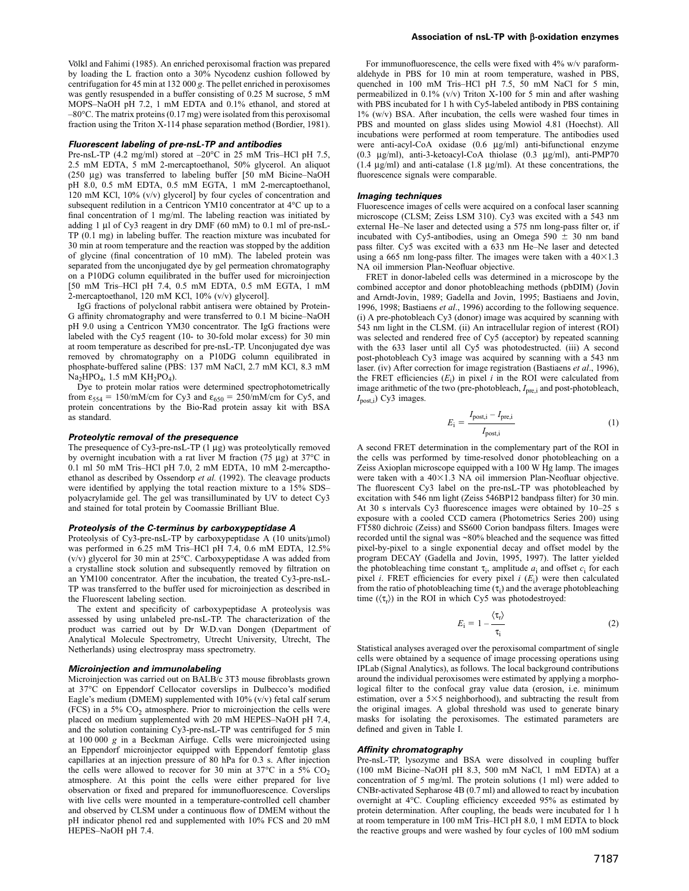Völkl and Fahimi (1985). An enriched peroxisomal fraction was prepared by loading the L fraction onto a 30% Nycodenz cushion followed by centrifugation for 45 min at 132 000 *g*. The pellet enriched in peroxisomes was gently resuspended in a buffer consisting of 0.25 M sucrose, 5 mM MOPS–NaOH pH 7.2, 1 mM EDTA and 0.1% ethanol, and stored at –80°C. The matrix proteins (0.17 mg) were isolated from this peroxisomal fraction using the Triton X-114 phase separation method (Bordier, 1981).

#### **Fluorescent labeling of pre-nsL-TP and antibodies**

Pre-nsL-TP (4.2 mg/ml) stored at  $-20^{\circ}$ C in 25 mM Tris–HCl pH 7.5, 2.5 mM EDTA, 5 mM 2-mercaptoethanol, 50% glycerol. An aliquot (250 μg) was transferred to labeling buffer [50 mM Bicine–NaOH pH 8.0, 0.5 mM EDTA, 0.5 mM EGTA, 1 mM 2-mercaptoethanol, 120 mM KCl, 10% (v/v) glycerol] by four cycles of concentration and subsequent redilution in a Centricon YM10 concentrator at 4°C up to a final concentration of 1 mg/ml. The labeling reaction was initiated by adding 1 μl of Cy3 reagent in dry DMF (60 mM) to 0.1 ml of pre-nsL-TP (0.1 mg) in labeling buffer. The reaction mixture was incubated for 30 min at room temperature and the reaction was stopped by the addition of glycine (final concentration of 10 mM). The labeled protein was separated from the unconjugated dye by gel permeation chromatography on a P10DG column equilibrated in the buffer used for microinjection [50 mM Tris–HCl pH 7.4, 0.5 mM EDTA, 0.5 mM EGTA, 1 mM 2-mercaptoethanol, 120 mM KCl, 10% (v/v) glycerol].

IgG fractions of polyclonal rabbit antisera were obtained by Protein-G affinity chromatography and were transferred to 0.1 M bicine–NaOH pH 9.0 using a Centricon YM30 concentrator. The IgG fractions were labeled with the Cy5 reagent (10- to 30-fold molar excess) for 30 min at room temperature as described for pre-nsL-TP. Unconjugated dye was removed by chromatography on a P10DG column equilibrated in phosphate-buffered saline (PBS: 137 mM NaCl, 2.7 mM KCl, 8.3 mM  $Na<sub>2</sub>HPO<sub>4</sub>$ , 1.5 mM  $KH<sub>2</sub>PO<sub>4</sub>$ ).

Dye to protein molar ratios were determined spectrophotometrically from  $\varepsilon_{554} = 150 \text{/m}$ M/cm for Cy3 and  $\varepsilon_{650} = 250 \text{/m}$ M/cm for Cy5, and protein concentrations by the Bio-Rad protein assay kit with BSA as standard.

#### **Proteolytic removal of the presequence**

The presequence of Cy3-pre-nsL-TP (1 μg) was proteolytically removed by overnight incubation with a rat liver M fraction (75 μg) at 37°C in 0.1 ml 50 mM Tris–HCl pH 7.0, 2 mM EDTA, 10 mM 2-mercapthoethanol as described by Ossendorp *et al.* (1992). The cleavage products were identified by applying the total reaction mixture to a 15% SDS– polyacrylamide gel. The gel was transilluminated by UV to detect Cy3 and stained for total protein by Coomassie Brilliant Blue.

#### **Proteolysis of the C-terminus by carboxypeptidase A**

Proteolysis of Cy3-pre-nsL-TP by carboxypeptidase A (10 units/μmol) was performed in 6.25 mM Tris–HCl pH 7.4, 0.6 mM EDTA, 12.5% (v/v) glycerol for 30 min at 25°C. Carboxypeptidase A was added from a crystalline stock solution and subsequently removed by filtration on an YM100 concentrator. After the incubation, the treated Cy3-pre-nsL-TP was transferred to the buffer used for microinjection as described in the Fluorescent labeling section.

The extent and specificity of carboxypeptidase A proteolysis was assessed by using unlabeled pre-nsL-TP. The characterization of the product was carried out by Dr W.D.van Dongen (Department of Analytical Molecule Spectrometry, Utrecht University, Utrecht, The Netherlands) using electrospray mass spectrometry.

#### **Microinjection and immunolabeling**

Microinjection was carried out on BALB/c 3T3 mouse fibroblasts grown at 37°C on Eppendorf Cellocator coverslips in Dulbecco's modified Eagle's medium (DMEM) supplemented with 10% (v/v) fetal calf serum (FCS) in a 5%  $CO<sub>2</sub>$  atmosphere. Prior to microinjection the cells were placed on medium supplemented with 20 mM HEPES–NaOH pH 7.4, and the solution containing Cy3-pre-nsL-TP was centrifuged for 5 min at 100 000 *g* in a Beckman Airfuge. Cells were microinjected using an Eppendorf microinjector equipped with Eppendorf femtotip glass capillaries at an injection pressure of 80 hPa for 0.3 s. After injection the cells were allowed to recover for 30 min at 37°C in a 5%  $CO<sub>2</sub>$ atmosphere. At this point the cells were either prepared for live observation or fixed and prepared for immunofluorescence. Coverslips with live cells were mounted in a temperature-controlled cell chamber and observed by CLSM under a continuous flow of DMEM without the pH indicator phenol red and supplemented with 10% FCS and 20 mM HEPES–NaOH pH 7.4.

For immunofluorescence, the cells were fixed with 4% w/v paraformaldehyde in PBS for 10 min at room temperature, washed in PBS, quenched in 100 mM Tris–HCl pH 7.5, 50 mM NaCl for 5 min, permeabilized in 0.1% (v/v) Triton X-100 for 5 min and after washing with PBS incubated for 1 h with Cy5-labeled antibody in PBS containing 1% (w/v) BSA. After incubation, the cells were washed four times in PBS and mounted on glass slides using Mowiol 4.81 (Hoechst). All incubations were performed at room temperature. The antibodies used were anti-acyl-CoA oxidase (0.6 μg/ml) anti-bifunctional enzyme (0.3 μg/ml), anti-3-ketoacyl-CoA thiolase (0.3 μg/ml), anti-PMP70 (1.4 μg/ml) and anti-catalase (1.8 μg/ml). At these concentrations, the fluorescence signals were comparable.

#### **Imaging techniques**

Fluorescence images of cells were acquired on a confocal laser scanning microscope (CLSM; Zeiss LSM 310). Cy3 was excited with a 543 nm external He–Ne laser and detected using a 575 nm long-pass filter or, if incubated with Cy5-antibodies, using an Omega  $590 \pm 30$  nm band pass filter. Cy5 was excited with a 633 nm He–Ne laser and detected using a 665 nm long-pass filter. The images were taken with a  $40\times1.3$ NA oil immersion Plan-Neofluar objective.

FRET in donor-labeled cells was determined in a microscope by the combined acceptor and donor photobleaching methods (pbDIM) (Jovin and Arndt-Jovin, 1989; Gadella and Jovin, 1995; Bastiaens and Jovin, 1996, 1998; Bastiaens *et al*., 1996) according to the following sequence. (i) A pre-photobleach Cy3 (donor) image was acquired by scanning with 543 nm light in the CLSM. (ii) An intracellular region of interest (ROI) was selected and rendered free of Cy5 (acceptor) by repeated scanning with the 633 laser until all Cy5 was photodestructed. (iii) A second post-photobleach Cy3 image was acquired by scanning with a 543 nm laser. (iv) After correction for image registration (Bastiaens *et al*., 1996), the FRET efficiencies  $(E_i)$  in pixel  $i$  in the ROI were calculated from image arithmetic of the two (pre-photobleach,  $I<sub>pre,i</sub>$  and post-photobleach, *I*<sub>post,j</sub>) Cy3 images.

$$
E_{\rm i} = \frac{I_{\rm post,i} - I_{\rm pre,i}}{I_{\rm post,i}}
$$
 (1)

A second FRET determination in the complementary part of the ROI in the cells was performed by time-resolved donor photobleaching on a Zeiss Axioplan microscope equipped with a 100 W Hg lamp. The images were taken with a  $40\times1.3$  NA oil immersion Plan-Neofluar objective. The fluorescent Cy3 label on the pre-nsL-TP was photobleached by excitation with 546 nm light (Zeiss 546BP12 bandpass filter) for 30 min. At 30 s intervals Cy3 fluorescence images were obtained by 10–25 s exposure with a cooled CCD camera (Photometrics Series 200) using FT580 dichroic (Zeiss) and SS600 Corion bandpass filters. Images were recorded until the signal was ~80% bleached and the sequence was fitted pixel-by-pixel to a single exponential decay and offset model by the program DECAY (Gadella and Jovin, 1995, 1997). The latter yielded the photobleaching time constant  $\tau_i$ , amplitude  $a_i$  and offset  $c_i$  for each pixel *i*. FRET efficiencies for every pixel  $i(E_i)$  were then calculated from the ratio of photobleaching time  $(\tau_i)$  and the average photobleaching time  $(\langle \tau_r \rangle)$  in the ROI in which Cy5 was photodestroyed:

$$
E_{\rm i} = 1 - \frac{\langle \tau_{\rm r} \rangle}{\tau_{\rm i}} \tag{2}
$$

Statistical analyses averaged over the peroxisomal compartment of single cells were obtained by a sequence of image processing operations using IPLab (Signal Analytics), as follows. The local background contributions around the individual peroxisomes were estimated by applying a morphological filter to the confocal gray value data (erosion, i.e. minimum estimation, over a  $5\times 5$  neighborhood), and subtracting the result from the original images. A global threshold was used to generate binary masks for isolating the peroxisomes. The estimated parameters are defined and given in Table I.

#### **Affinity chromatography**

Pre-nsL-TP, lysozyme and BSA were dissolved in coupling buffer (100 mM Bicine–NaOH pH 8.3, 500 mM NaCl, 1 mM EDTA) at a concentration of 5 mg/ml. The protein solutions (1 ml) were added to CNBr-activated Sepharose 4B (0.7 ml) and allowed to react by incubation overnight at 4°C. Coupling efficiency exceeded 95% as estimated by protein determination. After coupling, the beads were incubated for 1 h at room temperature in 100 mM Tris–HCl pH 8.0, 1 mM EDTA to block the reactive groups and were washed by four cycles of 100 mM sodium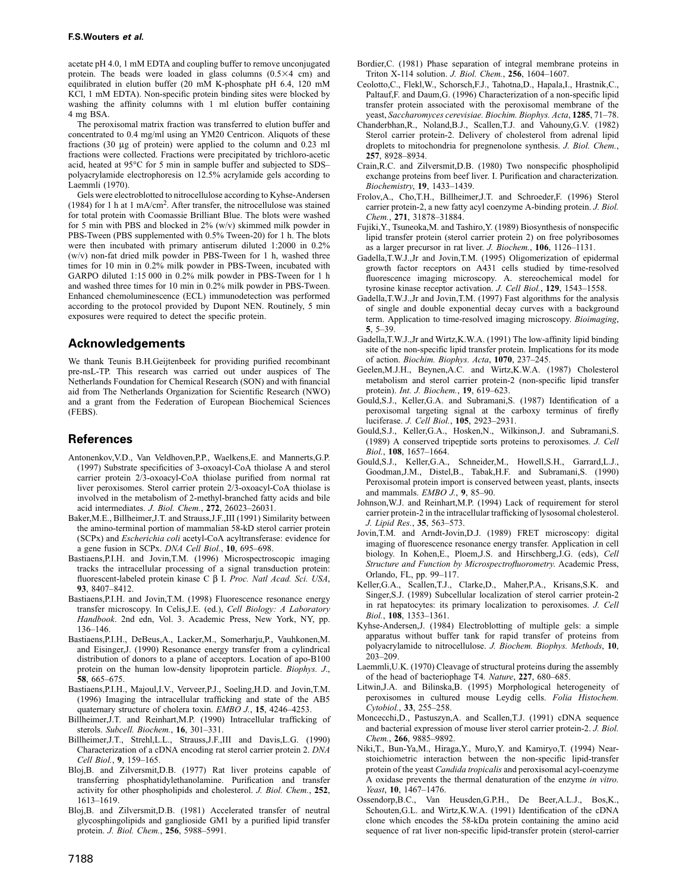acetate pH 4.0, 1 mM EDTA and coupling buffer to remove unconjugated protein. The beads were loaded in glass columns  $(0.5 \times 4$  cm) and equilibrated in elution buffer (20 mM K-phosphate pH 6.4, 120 mM KCl, 1 mM EDTA). Non-specific protein binding sites were blocked by washing the affinity columns with 1 ml elution buffer containing 4 mg BSA.

The peroxisomal matrix fraction was transferred to elution buffer and concentrated to 0.4 mg/ml using an YM20 Centricon. Aliquots of these fractions (30 μg of protein) were applied to the column and 0.23 ml fractions were collected. Fractions were precipitated by trichloro-acetic acid, heated at 95°C for 5 min in sample buffer and subjected to SDS– polyacrylamide electrophoresis on 12.5% acrylamide gels according to Laemmli (1970).

Gels were electroblotted to nitrocellulose according to Kyhse-Andersen (1984) for 1 h at 1 mA/cm<sup>2</sup>. After transfer, the nitrocellulose was stained for total protein with Coomassie Brilliant Blue. The blots were washed for 5 min with PBS and blocked in 2% (w/v) skimmed milk powder in PBS-Tween (PBS supplemented with 0.5% Tween-20) for 1 h. The blots were then incubated with primary antiserum diluted 1:2000 in 0.2% (w/v) non-fat dried milk powder in PBS-Tween for 1 h, washed three times for 10 min in 0.2% milk powder in PBS-Tween, incubated with GARPO diluted 1:15 000 in 0.2% milk powder in PBS-Tween for 1 h and washed three times for 10 min in 0.2% milk powder in PBS-Tween. Enhanced chemoluminescence (ECL) immunodetection was performed according to the protocol provided by Dupont NEN. Routinely, 5 min exposures were required to detect the specific protein.

# **Acknowledgements**

We thank Teunis B.H.Geijtenbeek for providing purified recombinant pre-nsL-TP. This research was carried out under auspices of The Netherlands Foundation for Chemical Research (SON) and with financial aid from The Netherlands Organization for Scientific Research (NWO) and a grant from the Federation of European Biochemical Sciences (FEBS).

# **References**

- Antonenkov,V.D., Van Veldhoven,P.P., Waelkens,E. and Mannerts,G.P. (1997) Substrate specificities of 3-oxoacyl-CoA thiolase A and sterol carrier protein 2/3-oxoacyl-CoA thiolase purified from normal rat liver peroxisomes. Sterol carrier protein 2/3-oxoacyl-CoA thiolase is involved in the metabolism of 2-methyl-branched fatty acids and bile acid intermediates. *J. Biol. Chem.*, **272**, 26023–26031.
- Baker,M.E., Billheimer,J.T. and Strauss,J.F.,III (1991) Similarity between the amino-terminal portion of mammalian 58-kD sterol carrier protein (SCPx) and *Escherichia coli* acetyl-CoA acyltransferase: evidence for a gene fusion in SCPx. *DNA Cell Biol.*, **10**, 695–698.
- Bastiaens,P.I.H. and Jovin,T.M. (1996) Microspectroscopic imaging tracks the intracellular processing of a signal transduction protein: fluorescent-labeled protein kinase C β I. *Proc. Natl Acad. Sci. USA*, **93**, 8407–8412.
- Bastiaens,P.I.H. and Jovin,T.M. (1998) Fluorescence resonance energy transfer microscopy. In Celis,J.E. (ed.), *Cell Biology: A Laboratory Handbook*. 2nd edn, Vol. 3. Academic Press, New York, NY, pp. 136–146.
- Bastiaens,P.I.H., DeBeus,A., Lacker,M., Somerharju,P., Vauhkonen,M. and Eisinger,J. (1990) Resonance energy transfer from a cylindrical distribution of donors to a plane of acceptors. Location of apo-B100 protein on the human low-density lipoprotein particle. *Biophys. J*., **58**, 665–675.
- Bastiaens,P.I.H., Majoul,I.V., Verveer,P.J., Soeling,H.D. and Jovin,T.M. (1996) Imaging the intracellular trafficking and state of the AB5 quaternary structure of cholera toxin. *EMBO J.*, **15**, 4246–4253.
- Billheimer,J.T. and Reinhart,M.P. (1990) Intracellular trafficking of sterols. *Subcell. Biochem.*, **16**, 301–331.
- Billheimer,J.T., Strehl,L.L., Strauss,J.F.,III and Davis,L.G. (1990) Characterization of a cDNA encoding rat sterol carrier protein 2. *DNA Cell Biol.*, **9**, 159–165.
- Bloj,B. and Zilversmit,D.B. (1977) Rat liver proteins capable of transferring phosphatidylethanolamine. Purification and transfer activity for other phospholipids and cholesterol. *J. Biol. Chem.*, **252**, 1613–1619.
- Bloj,B. and Zilversmit,D.B. (1981) Accelerated transfer of neutral glycosphingolipids and ganglioside GM1 by a purified lipid transfer protein. *J. Biol. Chem.*, **256**, 5988–5991.
- Bordier,C. (1981) Phase separation of integral membrane proteins in Triton X-114 solution. *J. Biol. Chem.*, **256**, 1604–1607.
- Ceolotto,C., Flekl,W., Schorsch,F.J., Tahotna,D., Hapala,I., Hrastnik,C., Paltauf,F. and Daum,G. (1996) Characterization of a non-specific lipid transfer protein associated with the peroxisomal membrane of the yeast, *Saccharomyces cerevisiae. Biochim. Biophys. Acta*, **1285**, 71–78.
- Chanderbhan,R., Noland,B.J., Scallen,T.J. and Vahouny,G.V. (1982) Sterol carrier protein-2. Delivery of cholesterol from adrenal lipid droplets to mitochondria for pregnenolone synthesis. *J. Biol. Chem.*, **257**, 8928–8934.
- Crain,R.C. and Zilversmit,D.B. (1980) Two nonspecific phospholipid exchange proteins from beef liver. I. Purification and characterization*. Biochemistry*, **19**, 1433–1439.
- Frolov,A., Cho,T.H., Billheimer,J.T. and Schroeder,F. (1996) Sterol carrier protein-2, a new fatty acyl coenzyme A-binding protein. *J. Biol. Chem.*, **271**, 31878–31884.
- Fujiki,Y., Tsuneoka,M. and Tashiro,Y. (1989) Biosynthesis of nonspecific lipid transfer protein (sterol carrier protein 2) on free polyribosomes as a larger precursor in rat liver. *J. Biochem.*, **106**, 1126–1131.
- Gadella,T.W.J.,Jr and Jovin,T.M. (1995) Oligomerization of epidermal growth factor receptors on A431 cells studied by time-resolved fluorescence imaging microscopy. A. stereochemical model for tyrosine kinase receptor activation. *J. Cell Biol.*, **129**, 1543–1558.
- Gadella,T.W.J.,Jr and Jovin,T.M. (1997) Fast algorithms for the analysis of single and double exponential decay curves with a background term. Application to time-resolved imaging microscopy. *Bioimaging*, **5**, 5–39.
- Gadella,T.W.J.,Jr and Wirtz,K.W.A. (1991) The low-affinity lipid binding site of the non-specific lipid transfer protein. Implications for its mode of action. *Biochim. Biophys. Acta*, **1070**, 237–245.
- Geelen,M.J.H., Beynen,A.C. and Wirtz,K.W.A. (1987) Cholesterol metabolism and sterol carrier protein-2 (non-specific lipid transfer protein). *Int. J. Biochem.*, **19**, 619–623.
- Gould,S.J., Keller,G.A. and Subramani,S. (1987) Identification of a peroxisomal targeting signal at the carboxy terminus of firefly luciferase. *J. Cell Biol.*, **105**, 2923–2931.
- Gould,S.J., Keller,G.A., Hosken,N., Wilkinson,J. and Subramani,S. (1989) A conserved tripeptide sorts proteins to peroxisomes. *J. Cell Biol.*, **108**, 1657–1664.
- Gould,S.J., Keller,G.A., Schneider,M., Howell,S.H., Garrard,L.J., Goodman,J.M., Distel,B., Tabak,H.F. and Subramani,S. (1990) Peroxisomal protein import is conserved between yeast, plants, insects and mammals. *EMBO J.*, **9**, 85–90.
- Johnson,W.J. and Reinhart,M.P. (1994) Lack of requirement for sterol carrier protein-2 in the intracellular trafficking of lysosomal cholesterol. *J. Lipid Res.*, **35**, 563–573.
- Jovin,T.M. and Arndt-Jovin,D.J. (1989) FRET microscopy: digital imaging of fluorescence resonance energy transfer. Application in cell biology. In Kohen,E., Ploem,J.S. and Hirschberg,J.G. (eds), *Cell Structure and Function by Microspectrofluorometry*. Academic Press, Orlando, FL, pp. 99–117.
- Keller,G.A., Scallen,T.J., Clarke,D., Maher,P.A., Krisans,S.K. and Singer,S.J. (1989) Subcellular localization of sterol carrier protein-2 in rat hepatocytes: its primary localization to peroxisomes. *J. Cell Biol.*, **108**, 1353–1361.
- Kyhse-Andersen,J. (1984) Electroblotting of multiple gels: a simple apparatus without buffer tank for rapid transfer of proteins from polyacrylamide to nitrocellulose. *J. Biochem. Biophys. Methods*, **10**, 203–209.
- Laemmli,U.K. (1970) Cleavage of structural proteins during the assembly of the head of bacteriophage T4*. Nature*, **227**, 680–685.
- Litwin,J.A. and Bilinska,B. (1995) Morphological heterogeneity of peroxisomes in cultured mouse Leydig cells. *Folia Histochem. Cytobiol.*, **33**, 255–258.
- Moncecchi,D., Pastuszyn,A. and Scallen,T.J. (1991) cDNA sequence and bacterial expression of mouse liver sterol carrier protein-2. *J. Biol. Chem.*, **266**, 9885–9892.
- Niki,T., Bun-Ya,M., Hiraga,Y., Muro,Y. and Kamiryo,T. (1994) Nearstoichiometric interaction between the non-specific lipid-transfer protein of the yeast *Candida tropicalis* and peroxisomal acyl-coenzyme A oxidase prevents the thermal denaturation of the enzyme *in vitro. Yeast*, **10**, 1467–1476.
- Ossendorp,B.C., Van Heusden,G.P.H., De Beer,A.L.J., Bos,K., Schouten,G.L. and Wirtz,K.W.A. (1991) Identification of the cDNA clone which encodes the 58-kDa protein containing the amino acid sequence of rat liver non-specific lipid-transfer protein (sterol-carrier